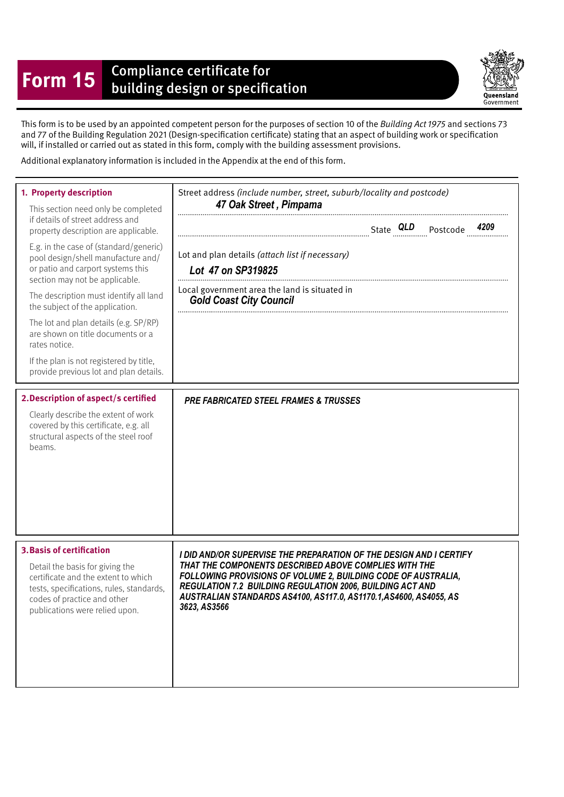## **Form 15** Compliance certificate for<br>building design or specification



This form is to be used by an appointed competent person for the purposes of section 10 of the Building Act 1975 and sections 73 and 77 of the Building Regulation 2021 (Design-specifcation certifcate) stating that an aspect of building work or specifcation will, if installed or carried out as stated in this form, comply with the building assessment provisions.

Additional explanatory information is included in the Appendix at the end of this form.

| 1. Property description<br>This section need only be completed<br>if details of street address and<br>property description are applicable.<br>E.g. in the case of (standard/generic)<br>pool design/shell manufacture and/<br>or patio and carport systems this<br>section may not be applicable.<br>The description must identify all land<br>the subject of the application.<br>The lot and plan details (e.g. SP/RP)<br>are shown on title documents or a<br>rates notice.<br>If the plan is not registered by title,<br>provide previous lot and plan details.<br>2. Description of aspect/s certified<br>Clearly describe the extent of work<br>covered by this certificate, e.g. all<br>structural aspects of the steel roof<br>beams. | Street address (include number, street, suburb/locality and postcode)<br>47 Oak Street, Pimpama<br>Lot and plan details (attach list if necessary)<br>Lot 47 on SP319825<br>Local government area the land is situated in<br><b>Gold Coast City Council</b><br><b>PRE FABRICATED STEEL FRAMES &amp; TRUSSES</b> |  |
|----------------------------------------------------------------------------------------------------------------------------------------------------------------------------------------------------------------------------------------------------------------------------------------------------------------------------------------------------------------------------------------------------------------------------------------------------------------------------------------------------------------------------------------------------------------------------------------------------------------------------------------------------------------------------------------------------------------------------------------------|-----------------------------------------------------------------------------------------------------------------------------------------------------------------------------------------------------------------------------------------------------------------------------------------------------------------|--|
| <b>3. Basis of certification</b>                                                                                                                                                                                                                                                                                                                                                                                                                                                                                                                                                                                                                                                                                                             | I DID AND/OR SUPERVISE THE PREPARATION OF THE DESIGN AND I CERTIFY                                                                                                                                                                                                                                              |  |
| Detail the basis for giving the                                                                                                                                                                                                                                                                                                                                                                                                                                                                                                                                                                                                                                                                                                              | THAT THE COMPONENTS DESCRIBED ABOVE COMPLIES WITH THE                                                                                                                                                                                                                                                           |  |
| certificate and the extent to which                                                                                                                                                                                                                                                                                                                                                                                                                                                                                                                                                                                                                                                                                                          | FOLLOWING PROVISIONS OF VOLUME 2, BUILDING CODE OF AUSTRALIA,                                                                                                                                                                                                                                                   |  |
| tests, specifications, rules, standards,                                                                                                                                                                                                                                                                                                                                                                                                                                                                                                                                                                                                                                                                                                     | REGULATION 7.2 BUILDING REGULATION 2006, BUILDING ACT AND                                                                                                                                                                                                                                                       |  |
| codes of practice and other                                                                                                                                                                                                                                                                                                                                                                                                                                                                                                                                                                                                                                                                                                                  | AUSTRALIAN STANDARDS AS4100, AS117.0, AS1170.1, AS4600, AS4055, AS                                                                                                                                                                                                                                              |  |
| publications were relied upon.                                                                                                                                                                                                                                                                                                                                                                                                                                                                                                                                                                                                                                                                                                               | 3623, AS3566                                                                                                                                                                                                                                                                                                    |  |